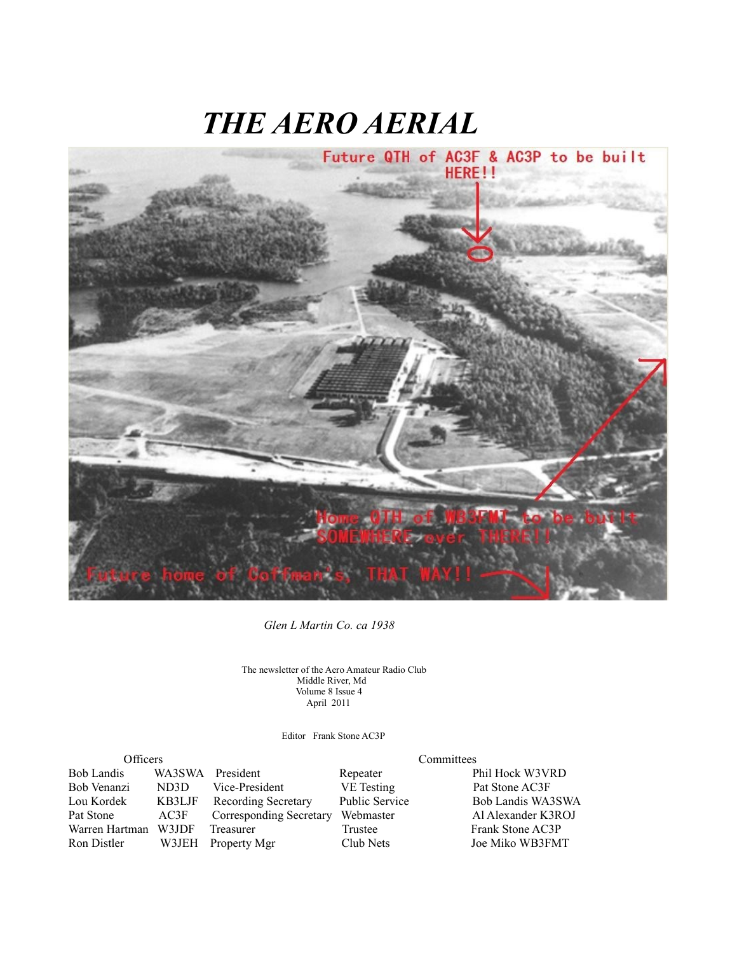# *THE AERO AERIAL*



*Glen L Martin Co. ca 1938*

The newsletter of the Aero Amateur Radio Club Middle River, Md Volume 8 Issue 4 April 2011

Editor Frank Stone AC3P

| <b>Officers</b>         |                            |                  | Committees         |  |
|-------------------------|----------------------------|------------------|--------------------|--|
|                         |                            | Repeater         | Phil Hock W3VRD    |  |
| ND3D                    | Vice-President             | VE Testing       | Pat Stone AC3F     |  |
| KB3LJF                  | <b>Recording Secretary</b> | Public Service   | Bob Landis WA3SWA  |  |
| AC3F                    | Corresponding Secretary    | Webmaster        | Al Alexander K3ROJ |  |
| W3JDF<br>Warren Hartman | Treasurer                  | Trustee          | Frank Stone AC3P   |  |
| W3JEH                   | Property Mgr               | Club Nets        | Joe Miko WB3FMT    |  |
|                         |                            | WA3SWA President |                    |  |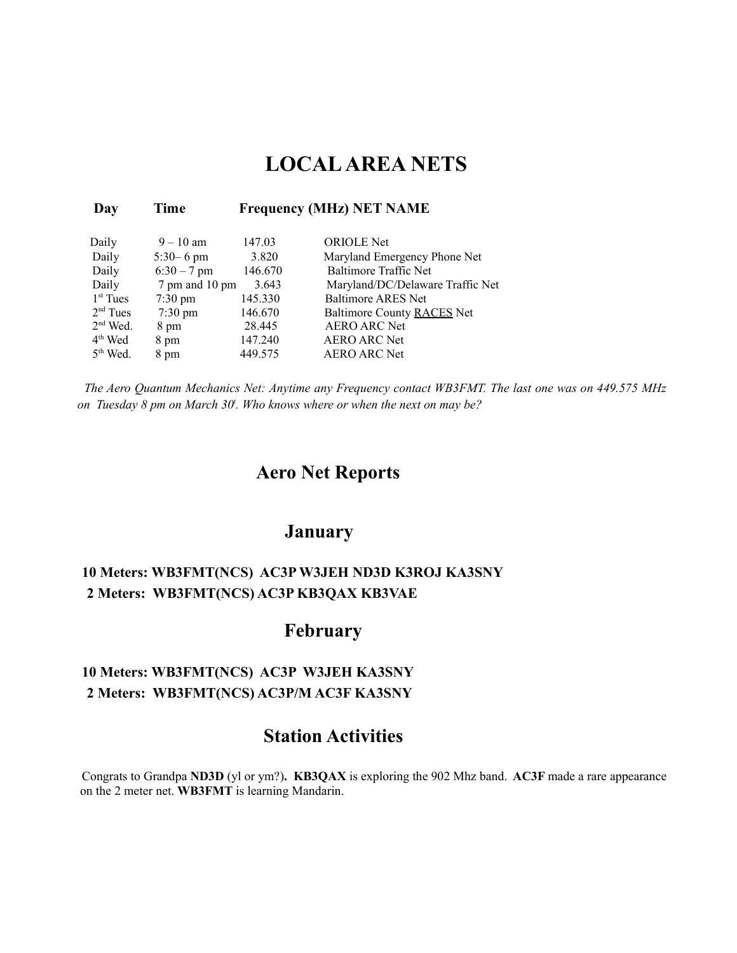# **LOCAL AREA NETS**

| Day        | Time              |         | <b>Frequency (MHz) NET NAME</b>   |
|------------|-------------------|---------|-----------------------------------|
| Daily      | $9 - 10$ am       | 147.03  | <b>ORIOLE</b> Net                 |
| Daily      | $5:30-6$ pm       | 3.820   | Maryland Emergency Phone Net      |
| Daily      | $6:30 - 7$ pm     | 146.670 | <b>Baltimore Traffic Net</b>      |
| Daily      | 7 pm and 10 pm    | 3.643   | Maryland/DC/Delaware Traffic Net  |
| $1st$ Tues | $7:30 \text{ pm}$ | 145.330 | <b>Baltimore ARES Net</b>         |
| $2nd$ Tues | $7:30 \text{ pm}$ | 146.670 | <b>Baltimore County RACES Net</b> |
| $2nd$ Wed. | 8 pm              | 28.445  | <b>AERO ARC Net</b>               |
| $4th$ Wed  | 8 pm              | 147.240 | <b>AERO ARC Net</b>               |
| $5th$ Wed. | 8 pm              | 449.575 | <b>AERO ARC Net</b>               |
|            |                   |         |                                   |

*The Aero Quantum Mechanics Net: Anytime any Frequency contact WB3FMT. The last one was on 449.575 MHz on Tuesday 8 pm on March 30<sup>t</sup> . Who knows where or when the next on may be?*

## **Aero Net Reports**

## **January**

#### **10 Meters: WB3FMT(NCS) AC3P W3JEH ND3D K3ROJ KA3SNY 2 Meters: WB3FMT(NCS) AC3P KB3QAX KB3VAE**

# **February**

### **10 Meters: WB3FMT(NCS) AC3P W3JEH KA3SNY 2 Meters: WB3FMT(NCS) AC3P/M AC3F KA3SNY**

## **Station Activities**

Congrats to Grandpa **ND3D** (yl or ym?)**. KB3QAX** is exploring the 902 Mhz band. **AC3F** made a rare appearance on the 2 meter net. **WB3FMT** is learning Mandarin.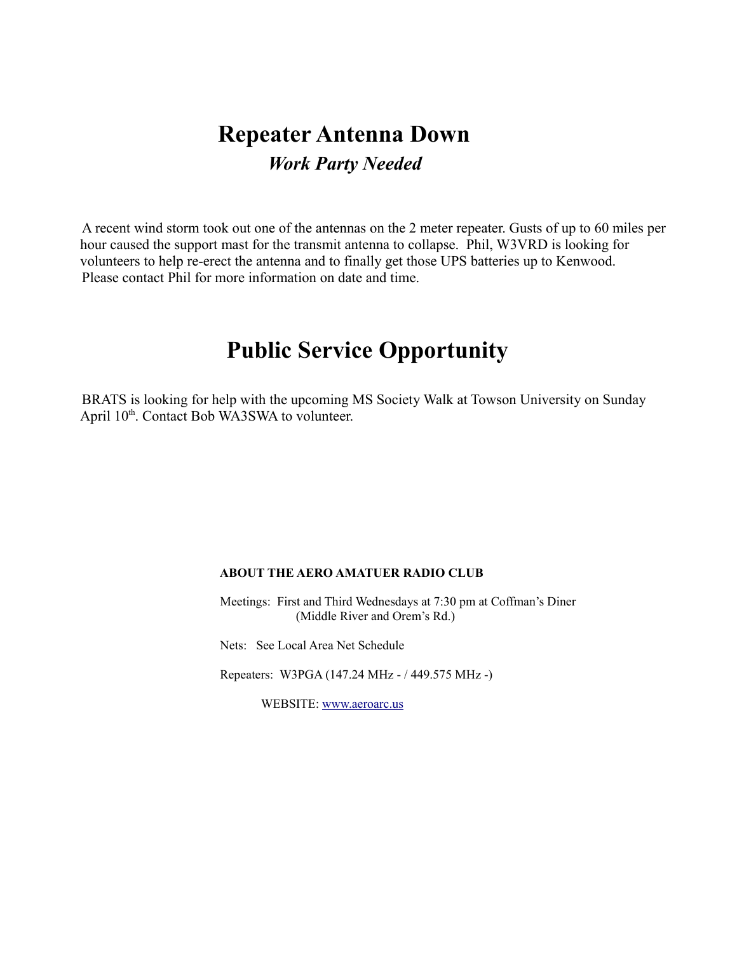# **Repeater Antenna Down** *Work Party Needed*

A recent wind storm took out one of the antennas on the 2 meter repeater. Gusts of up to 60 miles per hour caused the support mast for the transmit antenna to collapse. Phil, W3VRD is looking for volunteers to help re-erect the antenna and to finally get those UPS batteries up to Kenwood. Please contact Phil for more information on date and time.

# **Public Service Opportunity**

BRATS is looking for help with the upcoming MS Society Walk at Towson University on Sunday April 10<sup>th</sup>. Contact Bob WA3SWA to volunteer.

#### **ABOUT THE AERO AMATUER RADIO CLUB**

 Meetings: First and Third Wednesdays at 7:30 pm at Coffman's Diner (Middle River and Orem's Rd.)

Nets: See Local Area Net Schedule

Repeaters: W3PGA (147.24 MHz - / 449.575 MHz -)

WEBSITE: [www.aeroarc.us](http://www.aeroarc.us/)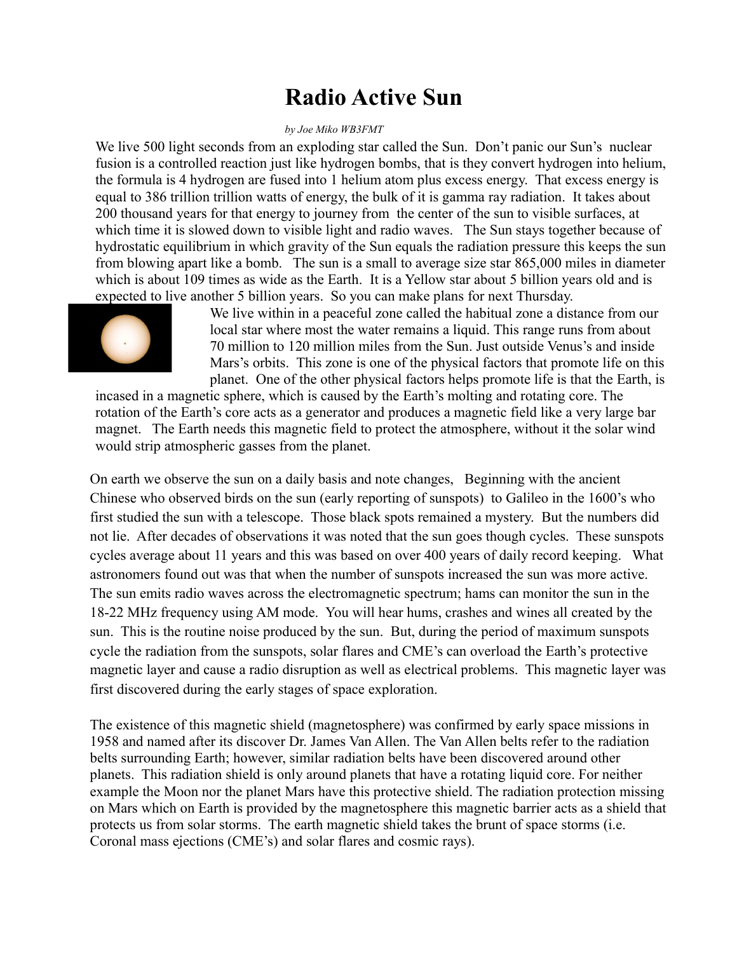# **Radio Active Sun**

#### *by Joe Miko WB3FMT*

We live 500 light seconds from an exploding star called the Sun. Don't panic our Sun's nuclear fusion is a controlled reaction just like hydrogen bombs, that is they convert hydrogen into helium, the formula is 4 hydrogen are fused into 1 helium atom plus excess energy. That excess energy is equal to 386 trillion trillion watts of energy, the bulk of it is gamma ray radiation. It takes about 200 thousand years for that energy to journey from the center of the sun to visible surfaces, at which time it is slowed down to visible light and radio waves. The Sun stays together because of hydrostatic equilibrium in which gravity of the Sun equals the radiation pressure this keeps the sun from blowing apart like a bomb. The sun is a small to average size star 865,000 miles in diameter which is about 109 times as wide as the Earth. It is a Yellow star about 5 billion years old and is expected to live another 5 billion years. So you can make plans for next Thursday.



We live within in a peaceful zone called the habitual zone a distance from our local star where most the water remains a liquid. This range runs from about 70 million to 120 million miles from the Sun. Just outside Venus's and inside Mars's orbits. This zone is one of the physical factors that promote life on this planet. One of the other physical factors helps promote life is that the Earth, is

incased in a magnetic sphere, which is caused by the Earth's molting and rotating core. The rotation of the Earth's core acts as a generator and produces a magnetic field like a very large bar magnet. The Earth needs this magnetic field to protect the atmosphere, without it the solar wind would strip atmospheric gasses from the planet.

On earth we observe the sun on a daily basis and note changes, Beginning with the ancient Chinese who observed birds on the sun (early reporting of sunspots) to Galileo in the 1600's who first studied the sun with a telescope. Those black spots remained a mystery. But the numbers did not lie. After decades of observations it was noted that the sun goes though cycles. These sunspots cycles average about 11 years and this was based on over 400 years of daily record keeping. What astronomers found out was that when the number of sunspots increased the sun was more active. The sun emits radio waves across the electromagnetic spectrum; hams can monitor the sun in the 18-22 MHz frequency using AM mode. You will hear hums, crashes and wines all created by the sun. This is the routine noise produced by the sun. But, during the period of maximum sunspots cycle the radiation from the sunspots, solar flares and CME's can overload the Earth's protective magnetic layer and cause a radio disruption as well as electrical problems. This magnetic layer was first discovered during the early stages of space exploration.

The existence of this magnetic shield (magnetosphere) was confirmed by early space missions in 1958 and named after its discover Dr. James Van Allen. The Van Allen belts refer to the radiation belts surrounding Earth; however, similar radiation belts have been discovered around other planets. This radiation shield is only around planets that have a rotating liquid core. For neither example the Moon nor the planet Mars have this protective shield. The radiation protection missing on Mars which on Earth is provided by the magnetosphere this magnetic barrier acts as a shield that protects us from solar storms. The earth magnetic shield takes the brunt of space storms (i.e. Coronal mass ejections (CME's) and solar flares and cosmic rays).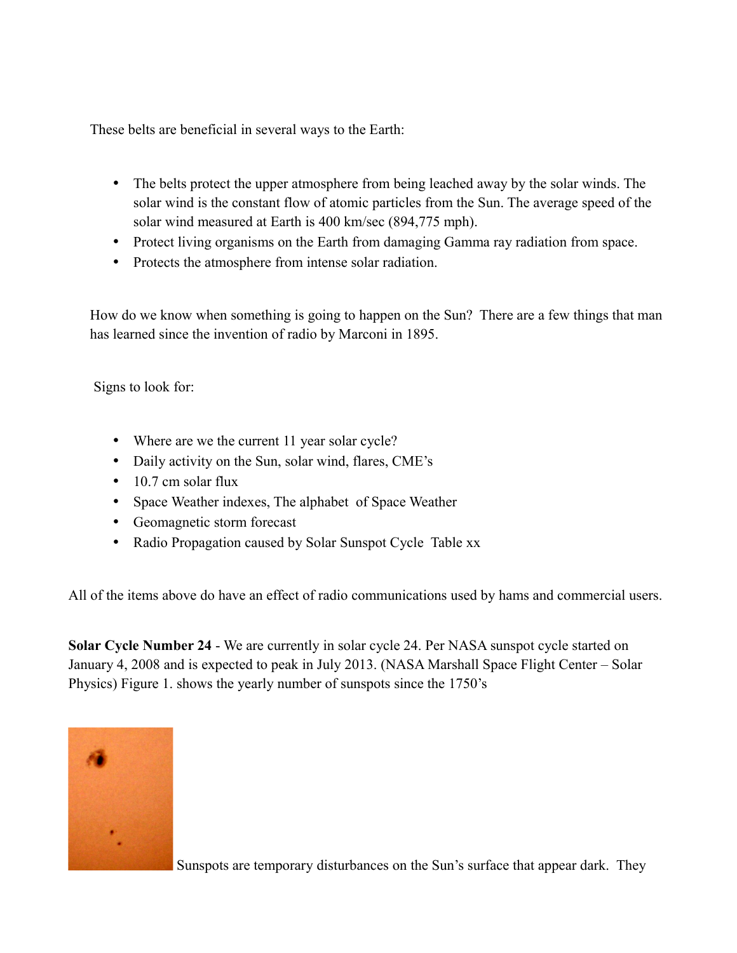These belts are beneficial in several ways to the Earth:

- The belts protect the upper atmosphere from being leached away by the solar winds. The solar wind is the constant flow of atomic particles from the Sun. The average speed of the solar wind measured at Earth is 400 km/sec (894,775 mph).
- Protect living organisms on the Earth from damaging Gamma ray radiation from space.
- Protects the atmosphere from intense solar radiation.

How do we know when something is going to happen on the Sun? There are a few things that man has learned since the invention of radio by Marconi in 1895.

Signs to look for:

- Where are we the current 11 year solar cycle?
- Daily activity on the Sun, solar wind, flares, CME's
- $\bullet$  10.7 cm solar flux
- Space Weather indexes, The alphabet of Space Weather
- Geomagnetic storm forecast
- Radio Propagation caused by Solar Sunspot Cycle Table xx

All of the items above do have an effect of radio communications used by hams and commercial users.

**Solar Cycle Number 24** - We are currently in solar cycle 24. Per NASA sunspot cycle started on January 4, 2008 and is expected to peak in July 2013. (NASA Marshall Space Flight Center – Solar Physics) Figure 1. shows the yearly number of sunspots since the 1750's



Sunspots are temporary disturbances on the Sun's surface that appear dark. They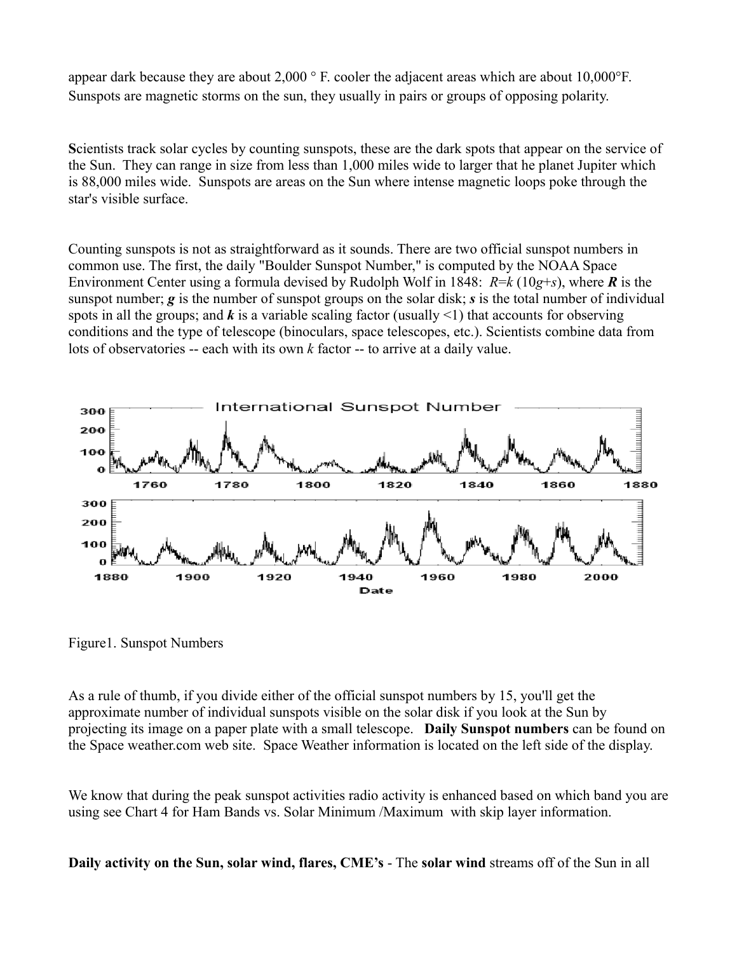appear dark because they are about 2,000 ° F. cooler the adjacent areas which are about 10,000°F. Sunspots are magnetic storms on the sun, they usually in pairs or groups of opposing polarity.

**S**cientists track solar cycles by counting sunspots, these are the dark spots that appear on the service of the Sun. They can range in size from less than 1,000 miles wide to larger that he planet Jupiter which is 88,000 miles wide. Sunspots are areas on the Sun where intense magnetic loops poke through the star's visible surface.

Counting sunspots is not as straightforward as it sounds. There are two official sunspot numbers in common use. The first, the daily "Boulder Sunspot Number," is computed by the NOAA Space Environment Center using a formula devised by Rudolph Wolf in 1848: *R*=*k* (10*g*+*s*), where *R* is the sunspot number; *g* is the number of sunspot groups on the solar disk; *s* is the total number of individual spots in all the groups; and  $k$  is a variable scaling factor (usually  $\leq$ 1) that accounts for observing conditions and the type of telescope (binoculars, space telescopes, etc.). Scientists combine data from lots of observatories -- each with its own *k* factor -- to arrive at a daily value.



Figure1. Sunspot Numbers

As a rule of thumb, if you divide either of the official sunspot numbers by 15, you'll get the approximate number of individual sunspots visible on the solar disk if you look at the Sun by projecting its image on a paper plate with a small telescope. **Daily Sunspot numbers** can be found on the Space weather.com web site. Space Weather information is located on the left side of the display.

We know that during the peak sunspot activities radio activity is enhanced based on which band you are using see Chart 4 for Ham Bands vs. Solar Minimum /Maximum with skip layer information.

**Daily activity on the Sun, solar wind, flares, CME's** - The **solar wind** streams off of the Sun in all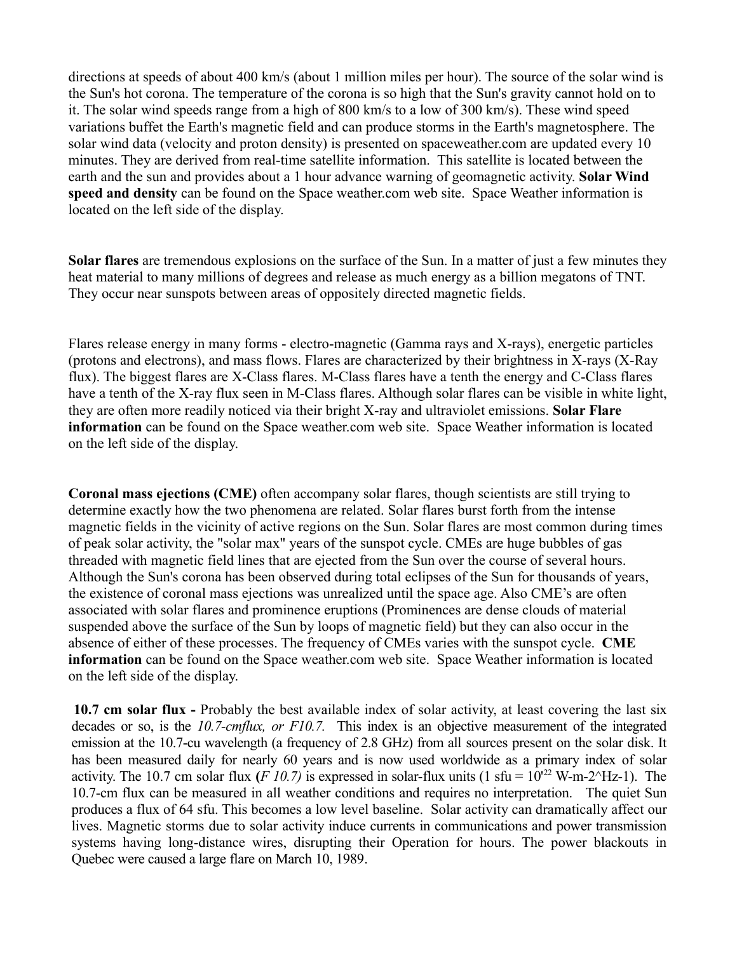directions at speeds of about 400 km/s (about 1 million miles per hour). The source of the solar wind is the Sun's hot corona. The temperature of the corona is so high that the Sun's gravity cannot hold on to it. The solar wind speeds range from a high of 800 km/s to a low of 300 km/s). These wind speed variations buffet the Earth's magnetic field and can produce storms in the Earth's magnetosphere. The solar wind data (velocity and proton density) is presented on spaceweather.com are updated every 10 minutes. They are derived from real-time satellite information. This satellite is located between the earth and the sun and provides about a 1 hour advance warning of geomagnetic activity. **Solar Wind speed and density** can be found on the Space weather.com web site. Space Weather information is located on the left side of the display.

**Solar flares** are tremendous explosions on the surface of the Sun. In a matter of just a few minutes they heat material to many millions of degrees and release as much energy as a billion megatons of TNT. They occur near sunspots between areas of oppositely directed magnetic fields.

Flares release energy in many forms - electro-magnetic (Gamma rays and X-rays), energetic particles (protons and electrons), and mass flows. Flares are characterized by their brightness in X-rays (X-Ray flux). The biggest flares are X-Class flares. M-Class flares have a tenth the energy and C-Class flares have a tenth of the X-ray flux seen in M-Class flares. Although solar flares can be visible in white light, they are often more readily noticed via their bright X-ray and ultraviolet emissions. **Solar Flare information** can be found on the Space weather.com web site. Space Weather information is located on the left side of the display.

**Coronal mass ejections (CME)** often accompany solar flares, though scientists are still trying to determine exactly how the two phenomena are related. Solar flares burst forth from the intense magnetic fields in the vicinity of active regions on the Sun. Solar flares are most common during times of peak solar activity, the "solar max" years of the sunspot cycle. CMEs are huge bubbles of gas threaded with magnetic field lines that are ejected from the Sun over the course of several hours. Although the Sun's corona has been observed during total eclipses of the Sun for thousands of years, the existence of coronal mass ejections was unrealized until the space age. Also CME's are often associated with solar flares and prominence eruptions (Prominences are dense clouds of material suspended above the surface of the Sun by loops of magnetic field) but they can also occur in the absence of either of these processes. The frequency of CMEs varies with the sunspot cycle. **CME information** can be found on the Space weather.com web site. Space Weather information is located on the left side of the display.

**10.7 cm solar flux -** Probably the best available index of solar activity, at least covering the last six decades or so, is the *10.7-cmflux, or F10.7.* This index is an objective measurement of the integrated emission at the 10.7-cu wavelength (a frequency of 2.8 GHz) from all sources present on the solar disk. It has been measured daily for nearly 60 years and is now used worldwide as a primary index of solar activity. The 10.7 cm solar flux (*F 10.7*) is expressed in solar-flux units (1 sfu =  $10^{22}$  W-m-2^Hz-1). The 10.7-cm flux can be measured in all weather conditions and requires no interpretation. The quiet Sun produces a flux of 64 sfu. This becomes a low level baseline. Solar activity can dramatically affect our lives. Magnetic storms due to solar activity induce currents in communications and power transmission systems having long-distance wires, disrupting their Operation for hours. The power blackouts in Quebec were caused a large flare on March 10, 1989.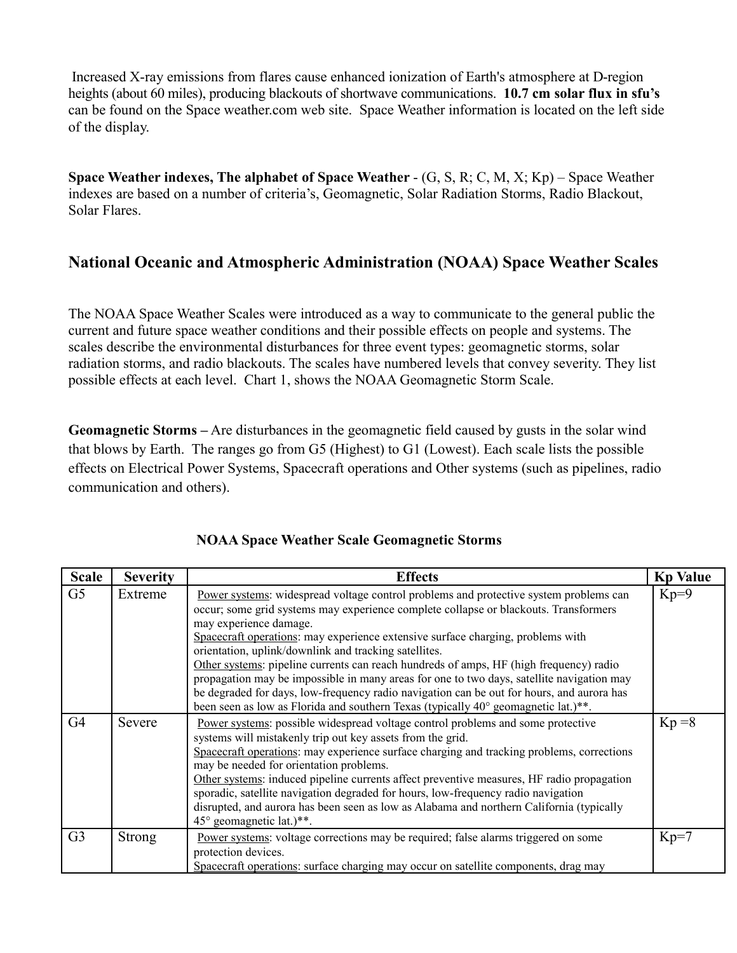Increased X-ray emissions from flares cause enhanced ionization of Earth's atmosphere at D-region heights (about 60 miles), producing blackouts of shortwave communications. **10.7 cm solar flux in sfu's** can be found on the Space weather.com web site. Space Weather information is located on the left side of the display.

**Space Weather indexes, The alphabet of Space Weather** - (G, S, R; C, M, X; Kp) – Space Weather indexes are based on a number of criteria's, Geomagnetic, Solar Radiation Storms, Radio Blackout, Solar Flares.

## **National Oceanic and Atmospheric Administration (NOAA) Space Weather Scales**

The NOAA Space Weather Scales were introduced as a way to communicate to the general public the current and future space weather conditions and their possible effects on people and systems. The scales describe the environmental disturbances for three event types: geomagnetic storms, solar radiation storms, and radio blackouts. The scales have numbered levels that convey severity. They list possible effects at each level. Chart 1, shows the NOAA Geomagnetic Storm Scale.

**Geomagnetic Storms –** Are disturbances in the geomagnetic field caused by gusts in the solar wind that blows by Earth. The ranges go from G5 (Highest) to G1 (Lowest). Each scale lists the possible effects on Electrical Power Systems, Spacecraft operations and Other systems (such as pipelines, radio communication and others).

| <b>Scale</b>   | <b>Severity</b> | <b>Effects</b>                                                                                                                                                                                                                                                                                                                                                                                                                                                                                                                                                                                                                                                                                                                | <b>Kp Value</b> |
|----------------|-----------------|-------------------------------------------------------------------------------------------------------------------------------------------------------------------------------------------------------------------------------------------------------------------------------------------------------------------------------------------------------------------------------------------------------------------------------------------------------------------------------------------------------------------------------------------------------------------------------------------------------------------------------------------------------------------------------------------------------------------------------|-----------------|
| G <sub>5</sub> | Extreme         | Power systems: widespread voltage control problems and protective system problems can<br>occur; some grid systems may experience complete collapse or blackouts. Transformers<br>may experience damage.<br>Spacecraft operations: may experience extensive surface charging, problems with<br>orientation, uplink/downlink and tracking satellites.<br>Other systems: pipeline currents can reach hundreds of amps, HF (high frequency) radio<br>propagation may be impossible in many areas for one to two days, satellite navigation may<br>be degraded for days, low-frequency radio navigation can be out for hours, and aurora has<br>been seen as low as Florida and southern Texas (typically 40° geomagnetic lat.)**. | $Kp=9$          |
| G4             | Severe          | Power systems: possible widespread voltage control problems and some protective<br>systems will mistakenly trip out key assets from the grid.<br>Spacecraft operations: may experience surface charging and tracking problems, corrections<br>may be needed for orientation problems.<br>Other systems: induced pipeline currents affect preventive measures, HF radio propagation<br>sporadic, satellite navigation degraded for hours, low-frequency radio navigation<br>disrupted, and aurora has been seen as low as Alabama and northern California (typically<br>$45^{\circ}$ geomagnetic lat.)**.                                                                                                                      | $Kp = 8$        |
| G <sub>3</sub> | <b>Strong</b>   | Power systems: voltage corrections may be required; false alarms triggered on some<br>protection devices.<br>Spacecraft operations: surface charging may occur on satellite components, drag may                                                                                                                                                                                                                                                                                                                                                                                                                                                                                                                              | $Kp=7$          |

|  |  |  |  | <b>NOAA Space Weather Scale Geomagnetic Storms</b> |  |
|--|--|--|--|----------------------------------------------------|--|
|--|--|--|--|----------------------------------------------------|--|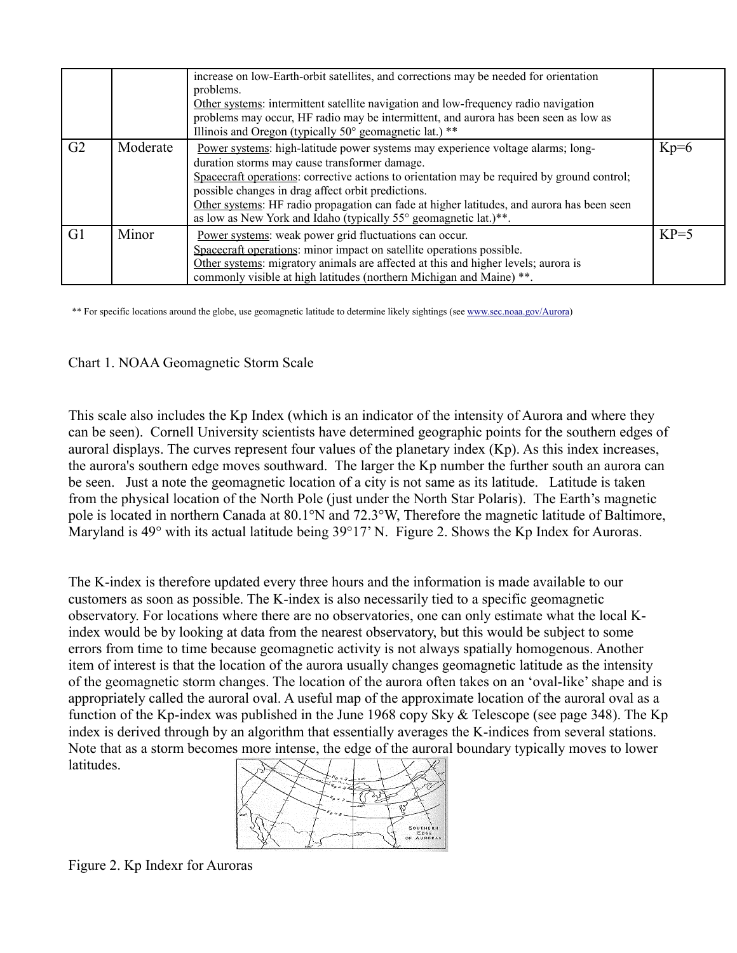|                |          | increase on low-Earth-orbit satellites, and corrections may be needed for orientation<br>problems.<br>Other systems: intermittent satellite navigation and low-frequency radio navigation<br>problems may occur, HF radio may be intermittent, and aurora has been seen as low as<br>Illinois and Oregon (typically $50^{\circ}$ geomagnetic lat.) **                                                                                                   |        |
|----------------|----------|---------------------------------------------------------------------------------------------------------------------------------------------------------------------------------------------------------------------------------------------------------------------------------------------------------------------------------------------------------------------------------------------------------------------------------------------------------|--------|
| G2             | Moderate | Power systems: high-latitude power systems may experience voltage alarms; long-<br>duration storms may cause transformer damage.<br>Spacecraft operations: corrective actions to orientation may be required by ground control;<br>possible changes in drag affect orbit predictions.<br>Other systems: HF radio propagation can fade at higher latitudes, and aurora has been seen<br>as low as New York and Idaho (typically 55° geomagnetic lat.)**. | $Kp=6$ |
| G <sub>1</sub> | Minor    | Power systems: weak power grid fluctuations can occur.<br>Spacecraft operations: minor impact on satellite operations possible.<br>Other systems: migratory animals are affected at this and higher levels; aurora is<br>commonly visible at high latitudes (northern Michigan and Maine) **.                                                                                                                                                           | $KP=5$ |

\*\* For specific locations around the globe, use geomagnetic latitude to determine likely sightings (see [www.sec.noaa.gov/Aurora\)](http://www.sec.noaa.gov/Aurora)

#### Chart 1. NOAA Geomagnetic Storm Scale

This scale also includes the Kp Index (which is an indicator of the intensity of Aurora and where they can be seen). Cornell University scientists have determined geographic points for the southern edges of auroral displays. The curves represent four values of the planetary index (Kp). As this index increases, the aurora's southern edge moves southward. The larger the Kp number the further south an aurora can be seen. Just a note the geomagnetic location of a city is not same as its latitude. Latitude is taken from the physical location of the North Pole (just under the North Star Polaris). The Earth's magnetic pole is located in northern Canada at 80.1°N and 72.3°W, Therefore the magnetic latitude of Baltimore, Maryland is 49° with its actual latitude being 39°17' N. Figure 2. Shows the Kp Index for Auroras.

The K-index is therefore updated every three hours and the information is made available to our customers as soon as possible. The K-index is also necessarily tied to a specific geomagnetic observatory. For locations where there are no observatories, one can only estimate what the local Kindex would be by looking at data from the nearest observatory, but this would be subject to some errors from time to time because geomagnetic activity is not always spatially homogenous. Another item of interest is that the location of the aurora usually changes geomagnetic latitude as the intensity of the geomagnetic storm changes. The location of the aurora often takes on an 'oval-like' shape and is appropriately called the auroral oval. A useful map of the approximate location of the auroral oval as a function of the Kp-index was published in the June 1968 copy Sky & Telescope (see page 348). The Kp index is derived through by an algorithm that essentially averages the K-indices from several stations. Note that as a storm becomes more intense, the edge of the auroral boundary typically moves to lower latitudes.



Figure 2. Kp Indexr for Auroras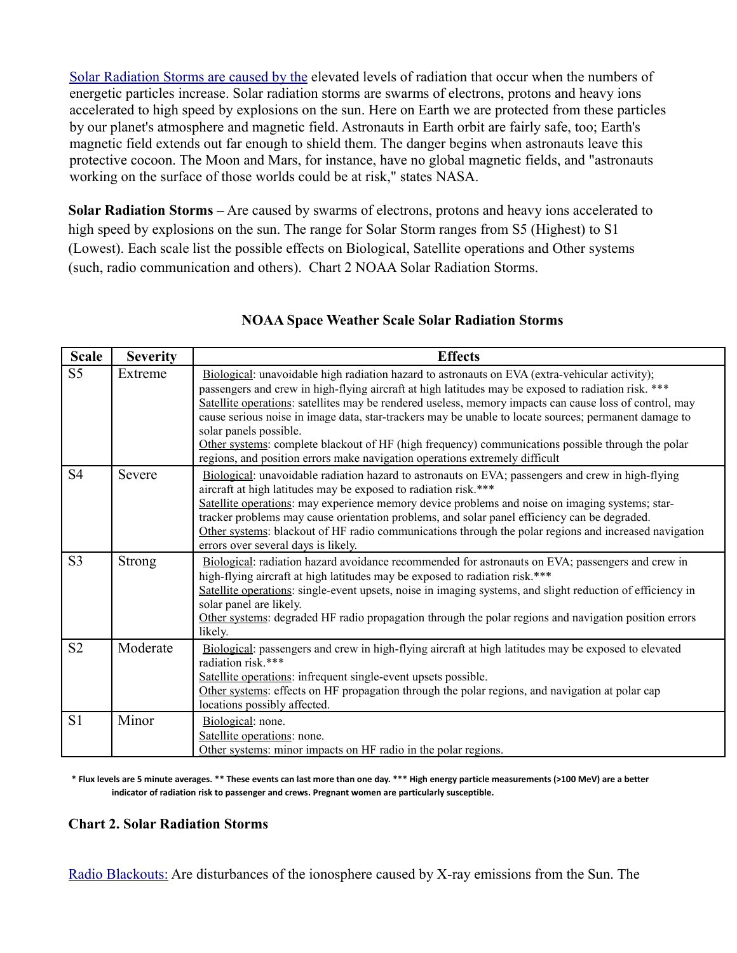[Solar Radiation Storms are caused by the](http://www.swpc.noaa.gov/NOAAscales/index.html#SolarRadiationStorms) elevated levels of radiation that occur when the numbers of energetic particles increase. Solar radiation storms are swarms of electrons, protons and heavy ions accelerated to high speed by explosions on the sun. Here on Earth we are protected from these particles by our planet's atmosphere and magnetic field. Astronauts in Earth orbit are fairly safe, too; Earth's magnetic field extends out far enough to shield them. The danger begins when astronauts leave this protective cocoon. The Moon and Mars, for instance, have no global magnetic fields, and "astronauts working on the surface of those worlds could be at risk," states NASA.

**Solar Radiation Storms –** Are caused by swarms of electrons, protons and heavy ions accelerated to high speed by explosions on the sun. The range for Solar Storm ranges from S5 (Highest) to S1 (Lowest). Each scale list the possible effects on Biological, Satellite operations and Other systems (such, radio communication and others). Chart 2 NOAA Solar Radiation Storms.

| <b>Scale</b>   | <b>Severity</b> | <b>Effects</b>                                                                                                                                                                                                                                                                                                                                                                                                                                                                                                                                                                                                                          |
|----------------|-----------------|-----------------------------------------------------------------------------------------------------------------------------------------------------------------------------------------------------------------------------------------------------------------------------------------------------------------------------------------------------------------------------------------------------------------------------------------------------------------------------------------------------------------------------------------------------------------------------------------------------------------------------------------|
| S <sub>5</sub> | Extreme         | Biological: unavoidable high radiation hazard to astronauts on EVA (extra-vehicular activity);<br>passengers and crew in high-flying aircraft at high latitudes may be exposed to radiation risk. ***<br>Satellite operations: satellites may be rendered useless, memory impacts can cause loss of control, may<br>cause serious noise in image data, star-trackers may be unable to locate sources; permanent damage to<br>solar panels possible.<br>Other systems: complete blackout of HF (high frequency) communications possible through the polar<br>regions, and position errors make navigation operations extremely difficult |
| S <sub>4</sub> | Severe          | Biological: unavoidable radiation hazard to astronauts on EVA; passengers and crew in high-flying<br>aircraft at high latitudes may be exposed to radiation risk.***<br>Satellite operations: may experience memory device problems and noise on imaging systems; star-<br>tracker problems may cause orientation problems, and solar panel efficiency can be degraded.<br>Other systems: blackout of HF radio communications through the polar regions and increased navigation<br>errors over several days is likely.                                                                                                                 |
| S <sub>3</sub> | <b>Strong</b>   | Biological: radiation hazard avoidance recommended for astronauts on EVA; passengers and crew in<br>high-flying aircraft at high latitudes may be exposed to radiation risk.***<br>Satellite operations: single-event upsets, noise in imaging systems, and slight reduction of efficiency in<br>solar panel are likely.<br>Other systems: degraded HF radio propagation through the polar regions and navigation position errors<br>likely.                                                                                                                                                                                            |
| S <sub>2</sub> | Moderate        | Biological: passengers and crew in high-flying aircraft at high latitudes may be exposed to elevated<br>radiation risk.***<br>Satellite operations: infrequent single-event upsets possible.<br>Other systems: effects on HF propagation through the polar regions, and navigation at polar cap<br>locations possibly affected.                                                                                                                                                                                                                                                                                                         |
| S <sub>1</sub> | Minor           | Biological: none.<br>Satellite operations: none.<br>Other systems: minor impacts on HF radio in the polar regions.                                                                                                                                                                                                                                                                                                                                                                                                                                                                                                                      |

#### **NOAA Space Weather Scale Solar Radiation Storms**

**\* Flux levels are 5 minute averages. \*\* These events can last more than one day. \*\*\* High energy particle measurements (>100 MeV) are a better indicator of radiation risk to passenger and crews. Pregnant women are particularly susceptible.**

#### **Chart 2. Solar Radiation Storms**

[Radio Blackouts:](http://www.swpc.noaa.gov/NOAAscales/index.html#RadioBlackouts) Are disturbances of the ionosphere caused by X-ray emissions from the Sun. The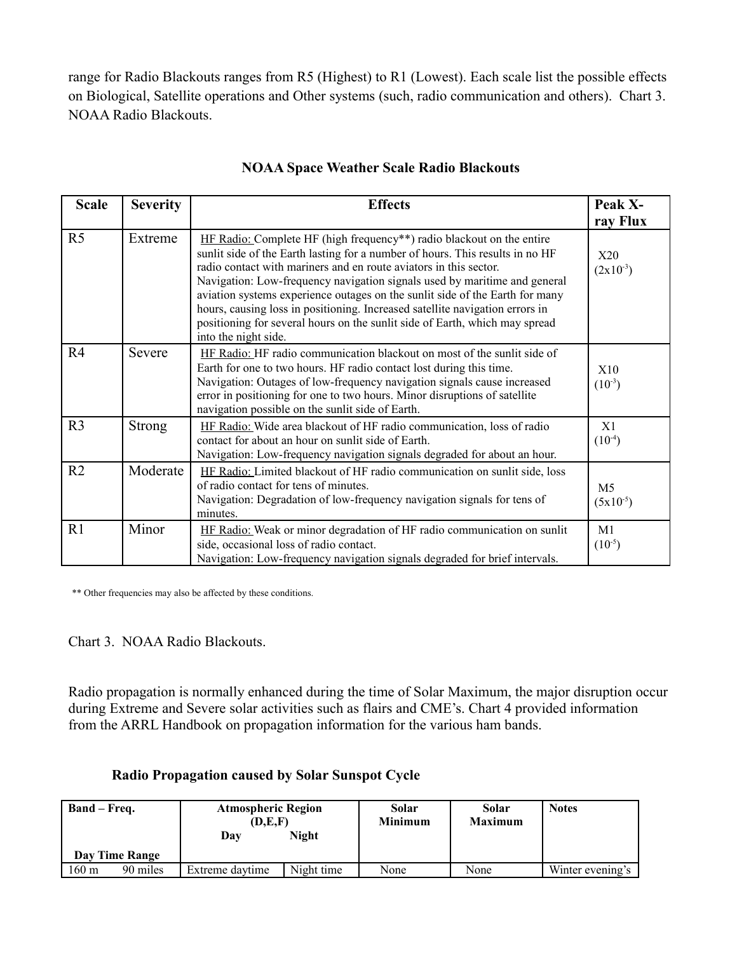range for Radio Blackouts ranges from R5 (Highest) to R1 (Lowest). Each scale list the possible effects on Biological, Satellite operations and Other systems (such, radio communication and others). Chart 3. NOAA Radio Blackouts.

| <b>Scale</b>   | <b>Severity</b> | <b>Effects</b>                                                                                                                                                                                                                                                                                                                                                                                                                                                                                                                                                                  | Peak X-                         |
|----------------|-----------------|---------------------------------------------------------------------------------------------------------------------------------------------------------------------------------------------------------------------------------------------------------------------------------------------------------------------------------------------------------------------------------------------------------------------------------------------------------------------------------------------------------------------------------------------------------------------------------|---------------------------------|
|                |                 |                                                                                                                                                                                                                                                                                                                                                                                                                                                                                                                                                                                 | ray Flux                        |
| R <sub>5</sub> | Extreme         | HF Radio: Complete HF (high frequency**) radio blackout on the entire<br>sunlit side of the Earth lasting for a number of hours. This results in no HF<br>radio contact with mariners and en route aviators in this sector.<br>Navigation: Low-frequency navigation signals used by maritime and general<br>aviation systems experience outages on the sunlit side of the Earth for many<br>hours, causing loss in positioning. Increased satellite navigation errors in<br>positioning for several hours on the sunlit side of Earth, which may spread<br>into the night side. | X20<br>$(2x10^{-3})$            |
| R4             | Severe          | HF Radio: HF radio communication blackout on most of the sunlit side of<br>Earth for one to two hours. HF radio contact lost during this time.<br>Navigation: Outages of low-frequency navigation signals cause increased<br>error in positioning for one to two hours. Minor disruptions of satellite<br>navigation possible on the sunlit side of Earth.                                                                                                                                                                                                                      | X10<br>$(10^{-3})$              |
| R <sub>3</sub> | <b>Strong</b>   | HF Radio: Wide area blackout of HF radio communication, loss of radio<br>contact for about an hour on sunlit side of Earth.<br>Navigation: Low-frequency navigation signals degraded for about an hour.                                                                                                                                                                                                                                                                                                                                                                         | X1<br>$(10^{-4})$               |
| R <sub>2</sub> | Moderate        | HF Radio: Limited blackout of HF radio communication on sunlit side, loss<br>of radio contact for tens of minutes.<br>Navigation: Degradation of low-frequency navigation signals for tens of<br>minutes.                                                                                                                                                                                                                                                                                                                                                                       | M <sub>5</sub><br>$(5x10^{-5})$ |
| R1             | Minor           | HF Radio: Weak or minor degradation of HF radio communication on sunlit<br>side, occasional loss of radio contact.<br>Navigation: Low-frequency navigation signals degraded for brief intervals.                                                                                                                                                                                                                                                                                                                                                                                | M1<br>$(10^{-5})$               |

#### **NOAA Space Weather Scale Radio Blackouts**

\*\* Other frequencies may also be affected by these conditions.

#### Chart 3. NOAA Radio Blackouts.

Radio propagation is normally enhanced during the time of Solar Maximum, the major disruption occur during Extreme and Severe solar activities such as flairs and CME's. Chart 4 provided information from the ARRL Handbook on propagation information for the various ham bands.

| <b>Band</b> – Freq. | Day Time Range | <b>Atmospheric Region</b><br>(D.E.F)<br>Dav | Night      | Solar<br><b>Minimum</b> | Solar<br><b>Maximum</b> | <b>Notes</b>     |
|---------------------|----------------|---------------------------------------------|------------|-------------------------|-------------------------|------------------|
| 160 m               | 90 miles       | Extreme daytime                             | Night time | None                    | None                    | Winter evening's |

#### **Radio Propagation caused by Solar Sunspot Cycle**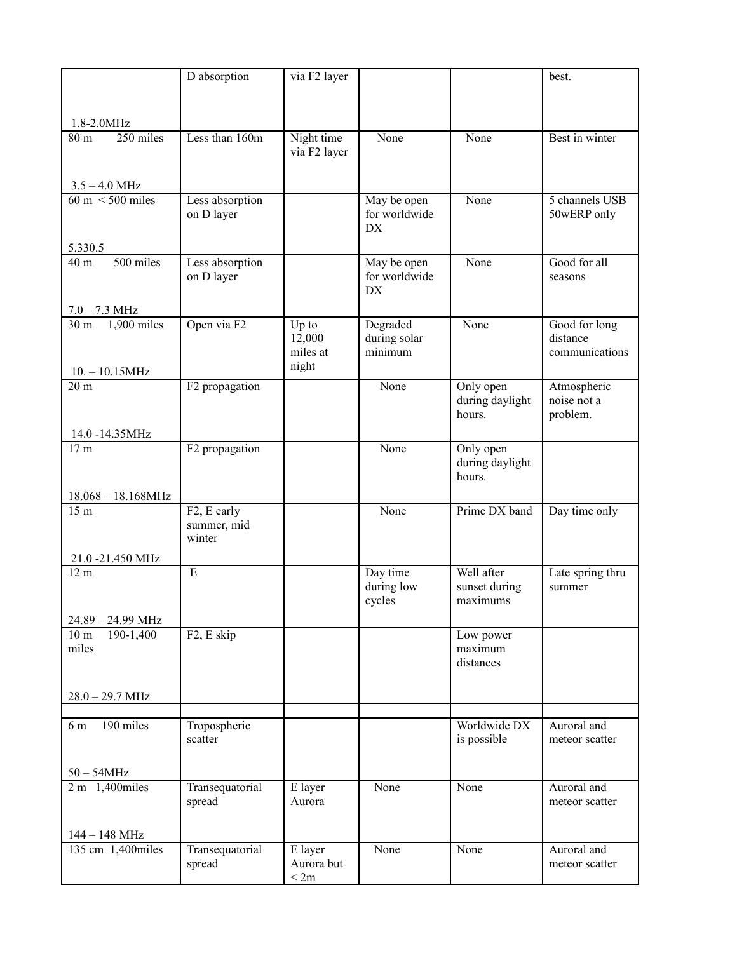|                                                       | D absorption                                      | via F2 layer                  |                                    |                                         | best.                         |
|-------------------------------------------------------|---------------------------------------------------|-------------------------------|------------------------------------|-----------------------------------------|-------------------------------|
|                                                       |                                                   |                               |                                    |                                         |                               |
| 1.8-2.0MHz                                            |                                                   |                               |                                    |                                         |                               |
| 250 miles<br>80 <sub>m</sub>                          | Less than 160m                                    | Night time<br>via F2 layer    | None                               | None                                    | Best in winter                |
|                                                       |                                                   |                               |                                    |                                         |                               |
| $3.5 - 4.0$ MHz<br>$60 \text{ m} < 500 \text{ miles}$ | Less absorption                                   |                               |                                    | None                                    | 5 channels USB                |
|                                                       | on D layer                                        |                               | May be open<br>for worldwide<br>DX |                                         | 50wERP only                   |
| 5.330.5<br>500 miles<br>40 m                          | Less absorption                                   |                               | May be open                        | None                                    | Good for all                  |
|                                                       | on D layer                                        |                               | for worldwide<br><b>DX</b>         |                                         | seasons                       |
| $7.0 - 7.3$ MHz<br>$1,900$ miles<br>30 <sub>m</sub>   | Open via F2                                       | Up to                         | Degraded                           | None                                    | Good for long                 |
| $10. - 10.15 MHz$                                     |                                                   | 12,000<br>miles at<br>night   | during solar<br>minimum            |                                         | distance<br>communications    |
| 20 <sub>m</sub>                                       | F2 propagation                                    |                               | None                               | Only open                               | Atmospheric                   |
|                                                       |                                                   |                               |                                    | during daylight<br>hours.               | noise not a<br>problem.       |
| 14.0 -14.35MHz                                        |                                                   |                               |                                    |                                         |                               |
| 17 <sub>m</sub>                                       | F2 propagation                                    |                               | None                               | Only open<br>during daylight<br>hours.  |                               |
| $18.068 - 18.168 MHz$                                 |                                                   |                               |                                    |                                         |                               |
| 15 <sub>m</sub>                                       | F <sub>2</sub> , E early<br>summer, mid<br>winter |                               | None                               | Prime DX band                           | Day time only                 |
| 21.0 -21.450 MHz                                      |                                                   |                               |                                    |                                         |                               |
| 12 <sub>m</sub><br>24.89 - 24.99 MHz                  | ${\bf E}$                                         |                               | Day time<br>during low<br>cycles   | Well after<br>sunset during<br>maximums | Late spring thru<br>summer    |
| 190-1,400<br>10 <sub>m</sub>                          | F <sub>2</sub> , E skip                           |                               |                                    | Low power                               |                               |
| miles                                                 |                                                   |                               |                                    | maximum<br>distances                    |                               |
| $28.0 - 29.7$ MHz                                     |                                                   |                               |                                    |                                         |                               |
| 190 miles<br>6 m                                      | Tropospheric<br>scatter                           |                               |                                    | Worldwide DX<br>is possible             | Auroral and<br>meteor scatter |
| $50 - 54 MHz$                                         |                                                   |                               |                                    |                                         |                               |
| 2 m 1,400 miles                                       | Transequatorial<br>spread                         | E layer<br>Aurora             | None                               | None                                    | Auroral and<br>meteor scatter |
| $144 - 148$ MHz                                       |                                                   |                               |                                    |                                         |                               |
| 135 cm 1,400miles                                     | Transequatorial<br>spread                         | E layer<br>Aurora but<br>< 2m | None                               | None                                    | Auroral and<br>meteor scatter |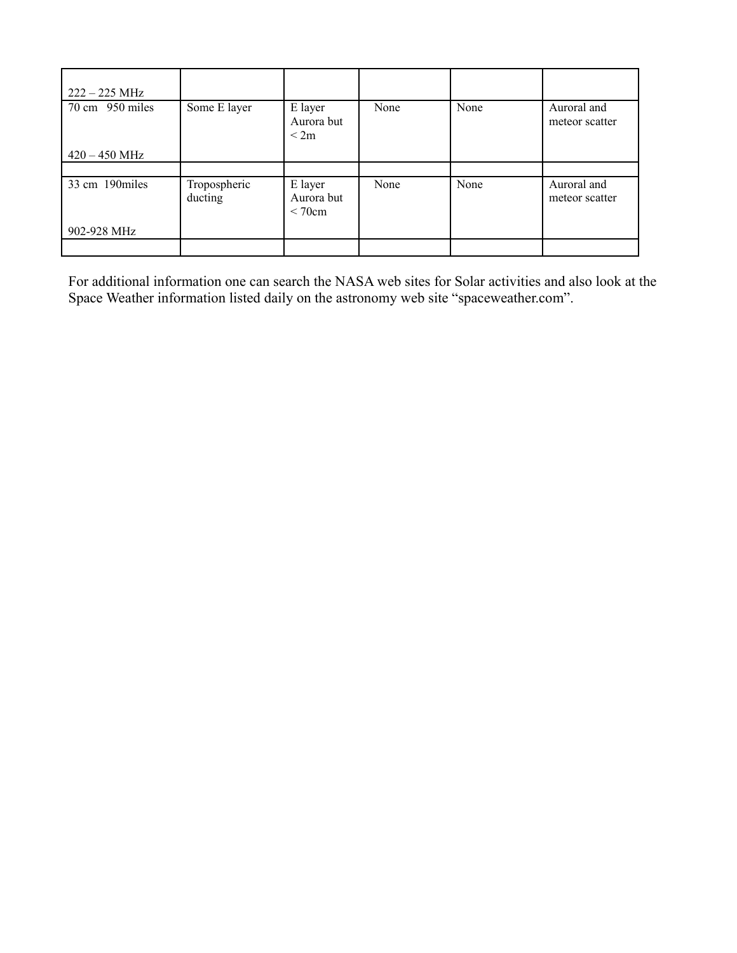| $222 - 225$ MHz |                         |                                 |      |      |                               |
|-----------------|-------------------------|---------------------------------|------|------|-------------------------------|
| 70 cm 950 miles | Some E layer            | E layer<br>Aurora but<br>< 2m   | None | None | Auroral and<br>meteor scatter |
| $420 - 450$ MHz |                         |                                 |      |      |                               |
|                 |                         |                                 |      |      |                               |
| 33 cm 190miles  | Tropospheric<br>ducting | E layer<br>Aurora but<br>< 70cm | None | None | Auroral and<br>meteor scatter |
| 902-928 MHz     |                         |                                 |      |      |                               |
|                 |                         |                                 |      |      |                               |

For additional information one can search the NASA web sites for Solar activities and also look at the Space Weather information listed daily on the astronomy web site "spaceweather.com".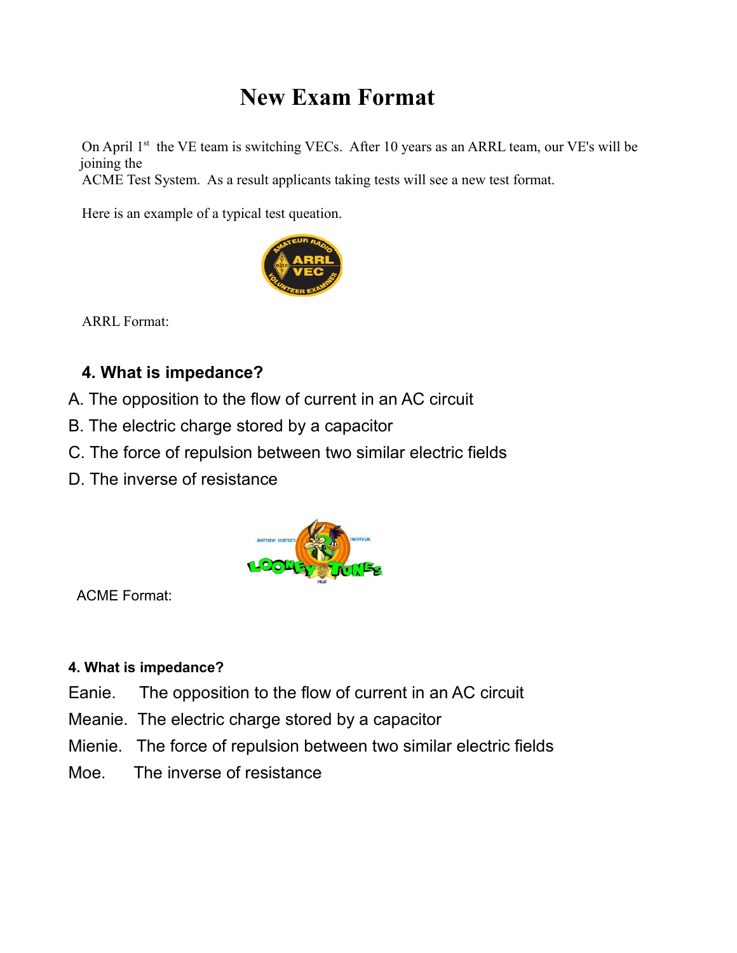# **New Exam Format**

On April  $1<sup>st</sup>$  the VE team is switching VECs. After 10 years as an ARRL team, our VE's will be joining the

ACME Test System. As a result applicants taking tests will see a new test format.

Here is an example of a typical test queation.



ARRL Format:

# **4. What is impedance?**

- A. The opposition to the flow of current in an AC circuit
- B. The electric charge stored by a capacitor
- C. The force of repulsion between two similar electric fields
- D. The inverse of resistance



ACME Format:

## **4. What is impedance?**

- Eanie. The opposition to the flow of current in an AC circuit
- Meanie. The electric charge stored by a capacitor
- Mienie. The force of repulsion between two similar electric fields
- Moe. The inverse of resistance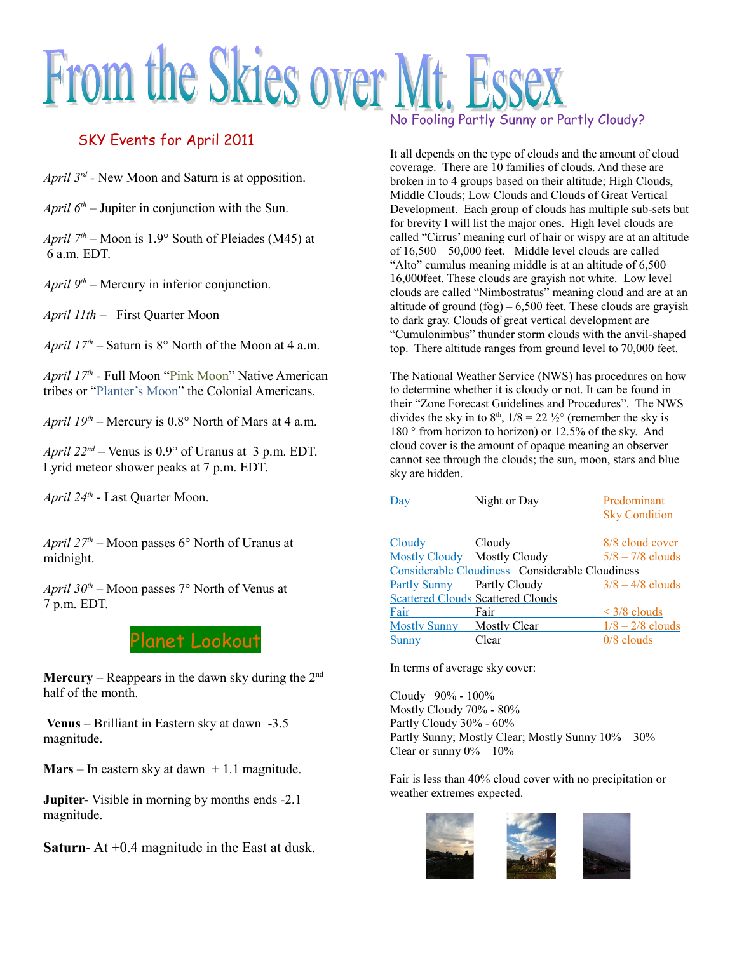# From the Skies over Mt. No Fooling Partly Sunny or Partly Cloudy?

## SKY Events for April 2011

*April 3rd -* New Moon and Saturn is at opposition.

*April*  $6<sup>th</sup>$  – Jupiter in conjunction with the Sun.

*April*  $7<sup>th</sup>$  – Moon is 1.9° South of Pleiades (M45) at 6 a.m. EDT.

*April 9th* – Mercury in inferior conjunction.

*April 11th* – First Quarter Moon

*April*  $17^{th}$  *– Saturn is 8<sup>°</sup> North of the Moon at 4 a.m.* 

*April 17th -* Full Moon "Pink Moon" Native American tribes or "Planter's Moon" the Colonial Americans.

*April*  $19^{th}$  *– Mercury is 0.8° North of Mars at 4 a.m.* 

*April 22nd –* Venus is 0.9° of Uranus at 3 p.m. EDT. Lyrid meteor shower peaks at 7 p.m. EDT.

*April 24th* - Last Quarter Moon.

*April 27th* – Moon passes 6° North of Uranus at midnight.

*April*  $30<sup>th</sup>$  – Moon passes 7° North of Venus at 7 p.m. EDT.

### Planet Lookout

**Mercury –** Reappears in the dawn sky during the 2nd half of the month.

**Venus** – Brilliant in Eastern sky at dawn -3.5 magnitude.

**Mars** – In eastern sky at dawn  $+1.1$  magnitude.

**Jupiter-** Visible in morning by months ends -2.1 magnitude.

**Saturn**- At +0.4 magnitude in the East at dusk.

It all depends on the type of clouds and the amount of cloud coverage. There are 10 families of clouds. And these are broken in to 4 groups based on their altitude; High Clouds, Middle Clouds; Low Clouds and Clouds of Great Vertical Development. Each group of clouds has multiple sub-sets but for brevity I will list the major ones. High level clouds are called "Cirrus' meaning curl of hair or wispy are at an altitude of 16,500 – 50,000 feet. Middle level clouds are called "Alto" cumulus meaning middle is at an altitude of  $6,500 -$ 16,000feet. These clouds are grayish not white. Low level clouds are called "Nimbostratus" meaning cloud and are at an altitude of ground  $(f \circ g) - 6,500$  feet. These clouds are grayish to dark gray. Clouds of great vertical development are "Cumulonimbus" thunder storm clouds with the anvil-shaped top. There altitude ranges from ground level to 70,000 feet.

The National Weather Service (NWS) has procedures on how to determine whether it is cloudy or not. It can be found in their "Zone Forecast Guidelines and Procedures". The NWS divides the sky in to  $8<sup>th</sup>$ ,  $1/8 = 22 \frac{1}{2}$ ° (remember the sky is 180 ° from horizon to horizon) or 12.5% of the sky. And cloud cover is the amount of opaque meaning an observer cannot see through the clouds; the sun, moon, stars and blue sky are hidden.

| Day                         | Night or Day                                    | Predominant<br><b>Sky Condition</b> |
|-----------------------------|-------------------------------------------------|-------------------------------------|
| <b>Cloudy</b>               | Cloudy                                          | 8/8 cloud cover                     |
| Mostly Cloudy Mostly Cloudy |                                                 | $5/8 - 7/8$ clouds                  |
|                             | Considerable Cloudiness Considerable Cloudiness |                                     |
| Partly Sunny Partly Cloudy  |                                                 | $3/8 - 4/8$ clouds                  |
|                             | <b>Scattered Clouds Scattered Clouds</b>        |                                     |
| Fair                        | Fair                                            | $\leq$ 3/8 clouds                   |
| <b>Mostly Sunny</b>         | <b>Mostly Clear</b>                             | $1/8 - 2/8$ clouds                  |
| Sunny                       | Clear                                           | $0/8$ clouds                        |
|                             |                                                 |                                     |

In terms of average sky cover:

Cloudy 90% - 100% Mostly Cloudy 70% - 80% Partly Cloudy 30% - 60% Partly Sunny; Mostly Clear; Mostly Sunny 10% – 30% Clear or sunny  $0\% - 10\%$ 

Fair is less than 40% cloud cover with no precipitation or weather extremes expected.